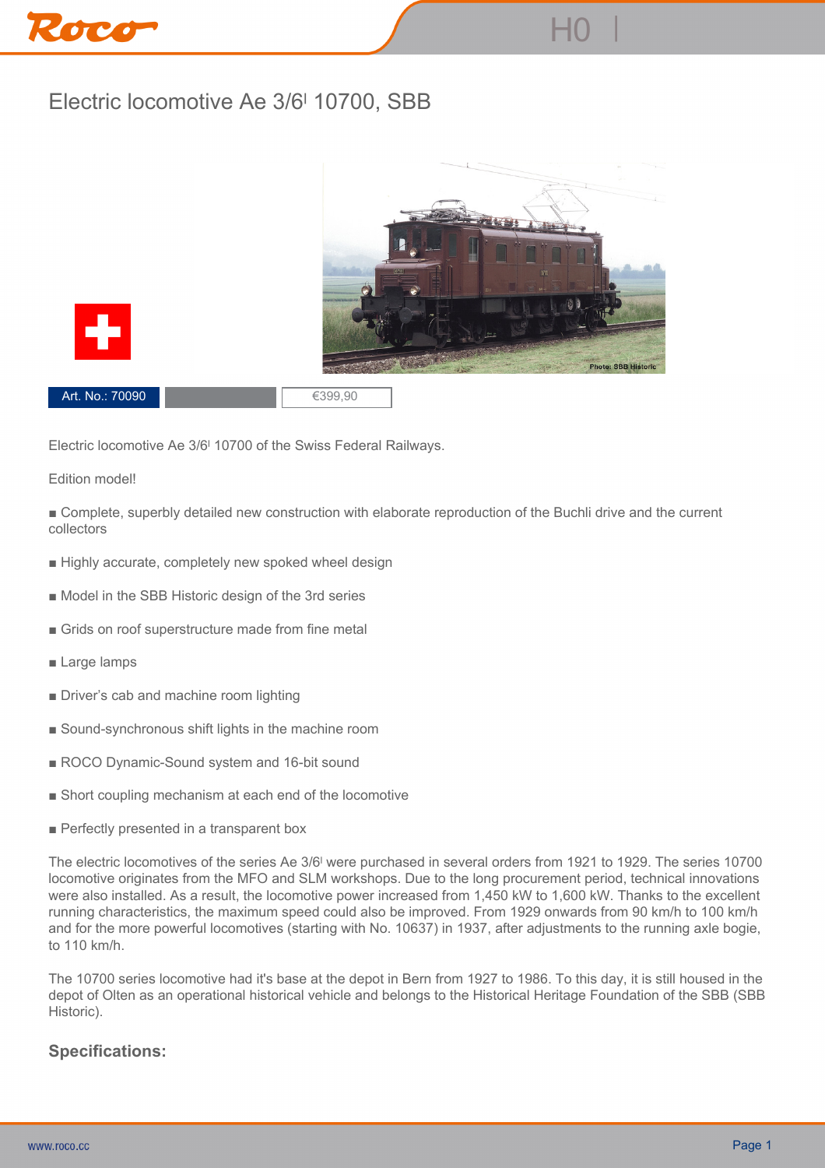## **Electric locomotive Ae 3/6ˡ 10700, SBB**





**Art. No.: 70090 €399,90** 

**Electric locomotive Ae 3/6ˡ 10700 of the Swiss Federal Railways.**

## **Edition model!**

**■ Complete, superbly detailed new construction with elaborate reproduction of the Buchli drive and the current collectors**

- **Highly accurate, completely new spoked wheel design**
- **Model in the SBB Historic design of the 3rd series**
- **Grids on roof superstructure made from fine metal**
- **Large lamps**
- **Driver's cab and machine room lighting**
- **Sound-synchronous shift lights in the machine room**
- ROCO Dynamic-Sound system and 16-bit sound
- **Short coupling mechanism at each end of the locomotive**
- **Perfectly presented in a transparent box**

**The electric locomotives of the series Ae 3/6ˡ were purchased in several orders from 1921 to 1929. The series 10700 locomotive originates from the MFO and SLM workshops. Due to the long procurement period, technical innovations were also installed. As a result, the locomotive power increased from 1,450 kW to 1,600 kW. Thanks to the excellent running characteristics, the maximum speed could also be improved. From 1929 onwards from 90 km/h to 100 km/h and for the more powerful locomotives (starting with No. 10637) in 1937, after adjustments to the running axle bogie, to 110 km/h.**

**The 10700 series locomotive had it's base at the depot in Bern from 1927 to 1986. To this day, it is still housed in the depot of Olten as an operational historical vehicle and belongs to the Historical Heritage Foundation of the SBB (SBB Historic).**

## **Specifications:**